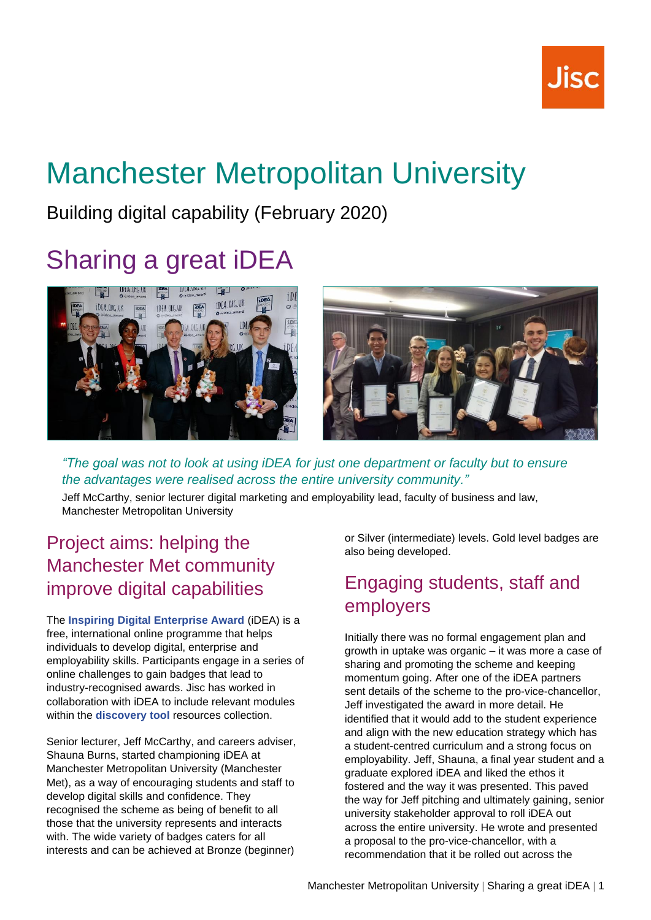# Manchester Metropolitan University

Building digital capability (February 2020)

## Sharing a great iDEA



*"The goal was not to look at using iDEA for just one department or faculty but to ensure the advantages were realised across the entire university community."*

Jeff McCarthy, senior lecturer digital marketing and employability lead, faculty of business and law, Manchester Metropolitan University

### Project aims: helping the Manchester Met community improve digital capabilities

The **[Inspiring Digital Enterprise Award](https://idea.org.uk/)** (iDEA) is a free, international online programme that helps individuals to develop digital, enterprise and employability skills. Participants engage in a series of online challenges to gain badges that lead to industry-recognised awards. Jisc has worked in collaboration with iDEA to include relevant modules within the **[discovery tool](https://digitalcapability.jisc.ac.uk/our-service/discovery-tool/)** resources collection.

Senior lecturer, Jeff McCarthy, and careers adviser, Shauna Burns, started championing iDEA at Manchester Metropolitan University (Manchester Met), as a way of encouraging students and staff to develop digital skills and confidence. They recognised the scheme as being of benefit to all those that the university represents and interacts with. The wide variety of badges caters for all interests and can be achieved at Bronze (beginner)

or Silver (intermediate) levels. Gold level badges are also being developed.

## Engaging students, staff and employers

Initially there was no formal engagement plan and growth in uptake was organic – it was more a case of sharing and promoting the scheme and keeping momentum going. After one of the iDEA partners sent details of the scheme to the pro-vice-chancellor, Jeff investigated the award in more detail. He identified that it would add to the student experience and align with the new education strategy which has a student-centred curriculum and a strong focus on employability. Jeff, Shauna, a final year student and a graduate explored iDEA and liked the ethos it fostered and the way it was presented. This paved the way for Jeff pitching and ultimately gaining, senior university stakeholder approval to roll iDEA out across the entire university. He wrote and presented a proposal to the pro-vice-chancellor, with a recommendation that it be rolled out across the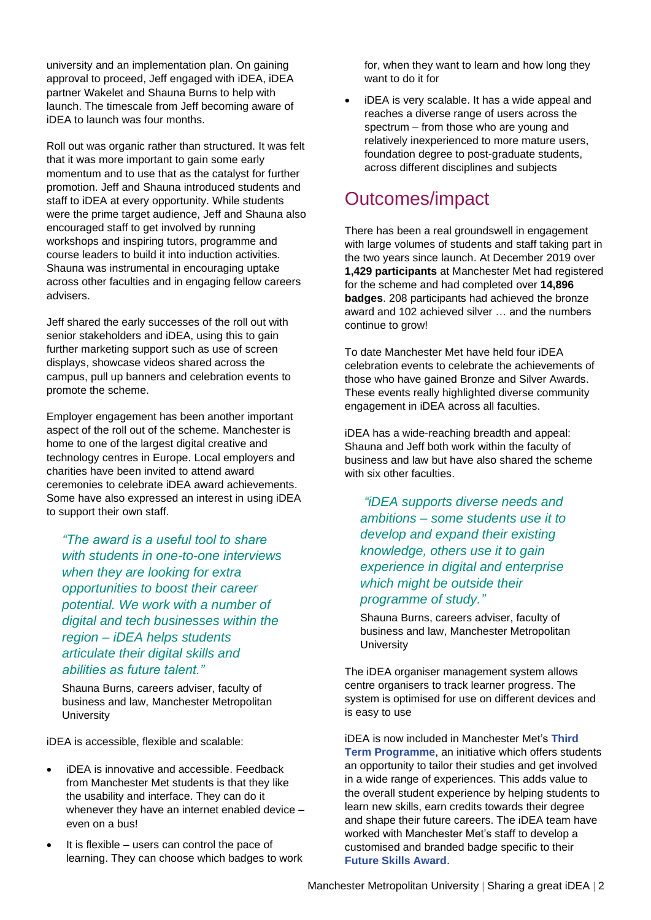university and an implementation plan. On gaining approval to proceed, Jeff engaged with iDEA, iDEA partner Wakelet and Shauna Burns to help with launch. The timescale from Jeff becoming aware of iDEA to launch was four months.

Roll out was organic rather than structured. It was felt that it was more important to gain some early momentum and to use that as the catalyst for further promotion. Jeff and Shauna introduced students and staff to iDEA at every opportunity. While students were the prime target audience, Jeff and Shauna also encouraged staff to get involved by running workshops and inspiring tutors, programme and course leaders to build it into induction activities. Shauna was instrumental in encouraging uptake across other faculties and in engaging fellow careers advisers.

Jeff shared the early successes of the roll out with senior stakeholders and iDEA, using this to gain further marketing support such as use of screen displays, showcase videos shared across the campus, pull up banners and celebration events to promote the scheme.

Employer engagement has been another important aspect of the roll out of the scheme. Manchester is home to one of the largest digital creative and technology centres in Europe. Local employers and charities have been invited to attend award ceremonies to celebrate iDEA award achievements. Some have also expressed an interest in using iDEA to support their own staff.

*"The award is a useful tool to share with students in one-to-one interviews when they are looking for extra opportunities to boost their career potential. We work with a number of digital and tech businesses within the region – iDEA helps students articulate their digital skills and abilities as future talent."*

Shauna Burns, careers adviser, faculty of business and law, Manchester Metropolitan **University** 

iDEA is accessible, flexible and scalable:

- iDEA is innovative and accessible. Feedback from Manchester Met students is that they like the usability and interface. They can do it whenever they have an internet enabled device – even on a bus!
- It is flexible users can control the pace of learning. They can choose which badges to work

for, when they want to learn and how long they want to do it for

iDEA is very scalable. It has a wide appeal and reaches a diverse range of users across the spectrum – from those who are young and relatively inexperienced to more mature users, foundation degree to post-graduate students, across different disciplines and subjects

#### Outcomes/impact

There has been a real groundswell in engagement with large volumes of students and staff taking part in the two years since launch. At December 2019 over **1,429 participants** at Manchester Met had registered for the scheme and had completed over **14,896 badges**. 208 participants had achieved the bronze award and 102 achieved silver … and the numbers continue to grow!

To date Manchester Met have held four iDEA celebration events to celebrate the achievements of those who have gained Bronze and Silver Awards. These events really highlighted diverse community engagement in iDEA across all faculties.

iDEA has a wide-reaching breadth and appeal: Shauna and Jeff both work within the faculty of business and law but have also shared the scheme with six other faculties.

*"iDEA supports diverse needs and ambitions – some students use it to develop and expand their existing knowledge, others use it to gain experience in digital and enterprise which might be outside their programme of study."*

Shauna Burns, careers adviser, faculty of business and law, Manchester Metropolitan **University** 

The **iDEA** organiser management system allows centre organisers to track learner progress. The system is optimised for use on different devices and is easy to use

iDEA is now included in Manchester Met's **[Third](https://www.mmu.ac.uk/student-life/news/story/?id=11859)  [Term Programme](https://www.mmu.ac.uk/student-life/news/story/?id=11859)**, an initiative which offers students an opportunity to tailor their studies and get involved in a wide range of experiences. This adds value to the overall student experience by helping students to learn new skills, earn credits towards their degree and shape their future careers. The iDEA team have worked with Manchester Met's staff to develop a customised and branded badge specific to their **[Future Skills Award](https://www2.mmu.ac.uk/careers/students/futures-skills-award/)**.